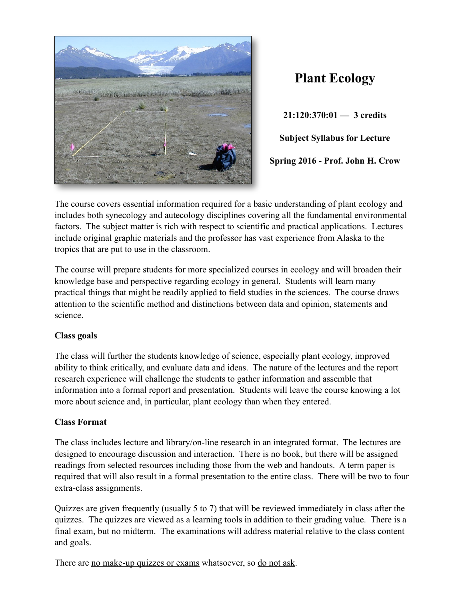

## **Plant Ecology**

**21:120:370:01 — 3 credits Subject Syllabus for Lecture Spring 2016 - Prof. John H. Crow**

The course covers essential information required for a basic understanding of plant ecology and includes both synecology and autecology disciplines covering all the fundamental environmental factors. The subject matter is rich with respect to scientific and practical applications. Lectures include original graphic materials and the professor has vast experience from Alaska to the tropics that are put to use in the classroom.

The course will prepare students for more specialized courses in ecology and will broaden their knowledge base and perspective regarding ecology in general. Students will learn many practical things that might be readily applied to field studies in the sciences. The course draws attention to the scientific method and distinctions between data and opinion, statements and science.

## **Class goals**

The class will further the students knowledge of science, especially plant ecology, improved ability to think critically, and evaluate data and ideas. The nature of the lectures and the report research experience will challenge the students to gather information and assemble that information into a formal report and presentation. Students will leave the course knowing a lot more about science and, in particular, plant ecology than when they entered.

## **Class Format**

The class includes lecture and library/on-line research in an integrated format. The lectures are designed to encourage discussion and interaction. There is no book, but there will be assigned readings from selected resources including those from the web and handouts. A term paper is required that will also result in a formal presentation to the entire class. There will be two to four extra-class assignments.

Quizzes are given frequently (usually 5 to 7) that will be reviewed immediately in class after the quizzes. The quizzes are viewed as a learning tools in addition to their grading value. There is a final exam, but no midterm. The examinations will address material relative to the class content and goals.

There are no make-up quizzes or exams whatsoever, so do not ask.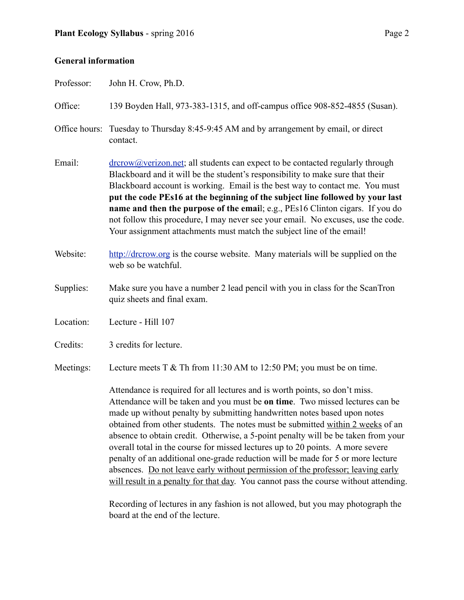## **General information**

| Professor: | John H. Crow, Ph.D.                                                                                                                                                                                                                                                                                                                                                                                                                                                                                                                                                                  |  |  |
|------------|--------------------------------------------------------------------------------------------------------------------------------------------------------------------------------------------------------------------------------------------------------------------------------------------------------------------------------------------------------------------------------------------------------------------------------------------------------------------------------------------------------------------------------------------------------------------------------------|--|--|
| Office:    | 139 Boyden Hall, 973-383-1315, and off-campus office 908-852-4855 (Susan).                                                                                                                                                                                                                                                                                                                                                                                                                                                                                                           |  |  |
|            | Office hours: Tuesday to Thursday 8:45-9:45 AM and by arrangement by email, or direct<br>contact.                                                                                                                                                                                                                                                                                                                                                                                                                                                                                    |  |  |
| Email:     | $\frac{d$ dress contactle and students can expect to be contacted regularly through<br>Blackboard and it will be the student's responsibility to make sure that their<br>Blackboard account is working. Email is the best way to contact me. You must<br>put the code PEs16 at the beginning of the subject line followed by your last<br>name and then the purpose of the email; e.g., PEs16 Clinton cigars. If you do<br>not follow this procedure, I may never see your email. No excuses, use the code.<br>Your assignment attachments must match the subject line of the email! |  |  |
| Website:   | http://drcrow.org is the course website. Many materials will be supplied on the<br>web so be watchful.                                                                                                                                                                                                                                                                                                                                                                                                                                                                               |  |  |
| Supplies:  | Make sure you have a number 2 lead pencil with you in class for the ScanTron<br>quiz sheets and final exam.                                                                                                                                                                                                                                                                                                                                                                                                                                                                          |  |  |
| Location:  | Lecture - Hill 107                                                                                                                                                                                                                                                                                                                                                                                                                                                                                                                                                                   |  |  |
| Credits:   | 3 credits for lecture.                                                                                                                                                                                                                                                                                                                                                                                                                                                                                                                                                               |  |  |
| Meetings:  | Lecture meets $T \& Th$ from 11:30 AM to 12:50 PM; you must be on time.                                                                                                                                                                                                                                                                                                                                                                                                                                                                                                              |  |  |
|            | Attendance is required for all lectures and is worth points, so don't miss.<br>Attendance will be taken and you must be on time. Two missed lectures can be<br>made up without penalty by submitting handwritten notes based upon notes<br>obtained from other students. The notes must be submitted within 2 weeks of an                                                                                                                                                                                                                                                            |  |  |

absence to obtain credit. Otherwise, a 5-point penalty will be be taken from your overall total in the course for missed lectures up to 20 points. A more severe penalty of an additional one-grade reduction will be made for 5 or more lecture absences. Do not leave early without permission of the professor; leaving early will result in a penalty for that day. You cannot pass the course without attending.

 Recording of lectures in any fashion is not allowed, but you may photograph the board at the end of the lecture.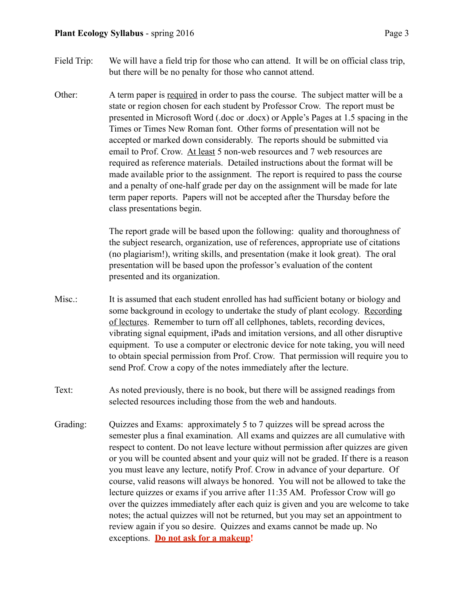- 
- Field Trip: We will have a field trip for those who can attend. It will be on official class trip, but there will be no penalty for those who cannot attend.
- Other: A term paper is required in order to pass the course. The subject matter will be a state or region chosen for each student by Professor Crow. The report must be presented in Microsoft Word (.doc or .docx) or Apple's Pages at 1.5 spacing in the Times or Times New Roman font. Other forms of presentation will not be accepted or marked down considerably. The reports should be submitted via email to Prof. Crow. At least 5 non-web resources and 7 web resources are required as reference materials. Detailed instructions about the format will be made available prior to the assignment. The report is required to pass the course and a penalty of one-half grade per day on the assignment will be made for late term paper reports. Papers will not be accepted after the Thursday before the class presentations begin.

 The report grade will be based upon the following: quality and thoroughness of the subject research, organization, use of references, appropriate use of citations (no plagiarism!), writing skills, and presentation (make it look great). The oral presentation will be based upon the professor's evaluation of the content presented and its organization.

- Misc.: It is assumed that each student enrolled has had sufficient botany or biology and some background in ecology to undertake the study of plant ecology. Recording of lectures. Remember to turn off all cellphones, tablets, recording devices, vibrating signal equipment, iPads and imitation versions, and all other disruptive equipment. To use a computer or electronic device for note taking, you will need to obtain special permission from Prof. Crow. That permission will require you to send Prof. Crow a copy of the notes immediately after the lecture.
- Text: As noted previously, there is no book, but there will be assigned readings from selected resources including those from the web and handouts.
- Grading: Quizzes and Exams: approximately 5 to 7 quizzes will be spread across the semester plus a final examination. All exams and quizzes are all cumulative with respect to content. Do not leave lecture without permission after quizzes are given or you will be counted absent and your quiz will not be graded. If there is a reason you must leave any lecture, notify Prof. Crow in advance of your departure. Of course, valid reasons will always be honored. You will not be allowed to take the lecture quizzes or exams if you arrive after 11:35 AM. Professor Crow will go over the quizzes immediately after each quiz is given and you are welcome to take notes; the actual quizzes will not be returned, but you may set an appointment to review again if you so desire. Quizzes and exams cannot be made up. No exceptions. **Do not ask for a makeup!**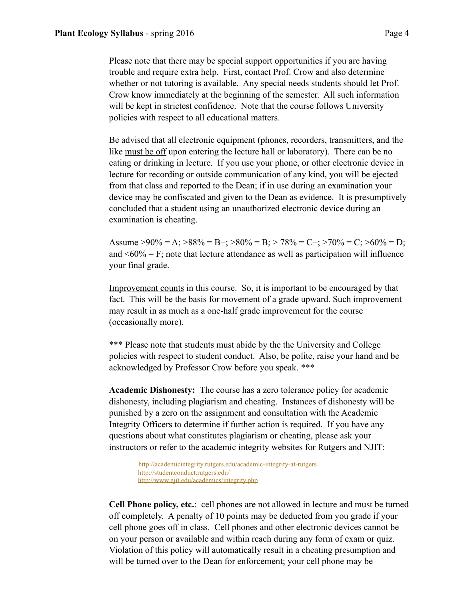Please note that there may be special support opportunities if you are having trouble and require extra help. First, contact Prof. Crow and also determine whether or not tutoring is available. Any special needs students should let Prof. Crow know immediately at the beginning of the semester. All such information will be kept in strictest confidence. Note that the course follows University policies with respect to all educational matters.

 Be advised that all electronic equipment (phones, recorders, transmitters, and the like must be off upon entering the lecture hall or laboratory). There can be no eating or drinking in lecture. If you use your phone, or other electronic device in lecture for recording or outside communication of any kind, you will be ejected from that class and reported to the Dean; if in use during an examination your device may be confiscated and given to the Dean as evidence. It is presumptively concluded that a student using an unauthorized electronic device during an examination is cheating.

Assume  $>90\%$  = A;  $>88\%$  = B+;  $>80\%$  = B;  $>78\%$  = C+;  $>70\%$  = C;  $>60\%$  = D; and  $\leq 60\%$  = F; note that lecture attendance as well as participation will influence your final grade.

Improvement counts in this course. So, it is important to be encouraged by that fact. This will be the basis for movement of a grade upward. Such improvement may result in as much as a one-half grade improvement for the course (occasionally more).

\*\*\* Please note that students must abide by the the University and College policies with respect to student conduct. Also, be polite, raise your hand and be acknowledged by Professor Crow before you speak. \*\*\*

**Academic Dishonesty:** The course has a zero tolerance policy for academic dishonesty, including plagiarism and cheating. Instances of dishonesty will be punished by a zero on the assignment and consultation with the Academic Integrity Officers to determine if further action is required. If you have any questions about what constitutes plagiarism or cheating, please ask your instructors or refer to the academic integrity websites for Rutgers and NJIT:

> <http://academicintegrity.rutgers.edu/academic-integrity-at-rutgers> <http://studentconduct.rutgers.edu/> <http://www.njit.edu/academics/integrity.php>

**Cell Phone policy, etc.**: cell phones are not allowed in lecture and must be turned off completely. A penalty of 10 points may be deducted from you grade if your cell phone goes off in class. Cell phones and other electronic devices cannot be on your person or available and within reach during any form of exam or quiz. Violation of this policy will automatically result in a cheating presumption and will be turned over to the Dean for enforcement; your cell phone may be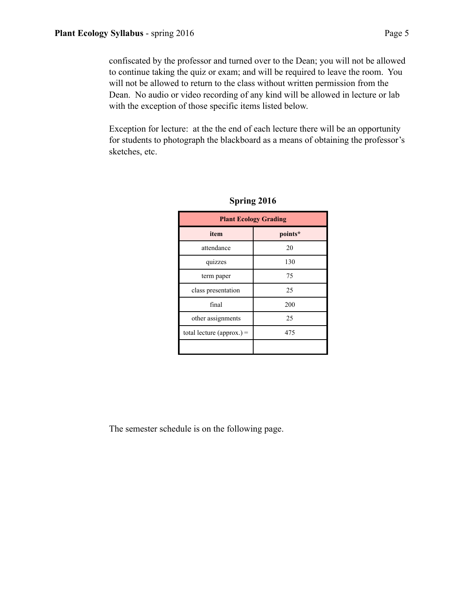confiscated by the professor and turned over to the Dean; you will not be allowed to continue taking the quiz or exam; and will be required to leave the room. You will not be allowed to return to the class without written permission from the Dean. No audio or video recording of any kind will be allowed in lecture or lab with the exception of those specific items listed below.

Exception for lecture: at the the end of each lecture there will be an opportunity for students to photograph the blackboard as a means of obtaining the professor's sketches, etc.

| <b>Plant Ecology Grading</b> |         |  |  |
|------------------------------|---------|--|--|
| item                         | points* |  |  |
| attendance                   | 20      |  |  |
| quizzes                      | 130     |  |  |
| term paper                   | 75      |  |  |
| class presentation           | 25      |  |  |
| final                        | 200     |  |  |
| other assignments            | 25      |  |  |
| total lecture (approx.) =    | 475     |  |  |
|                              |         |  |  |

| Spring 2016 |  |  |
|-------------|--|--|
|             |  |  |

The semester schedule is on the following page.